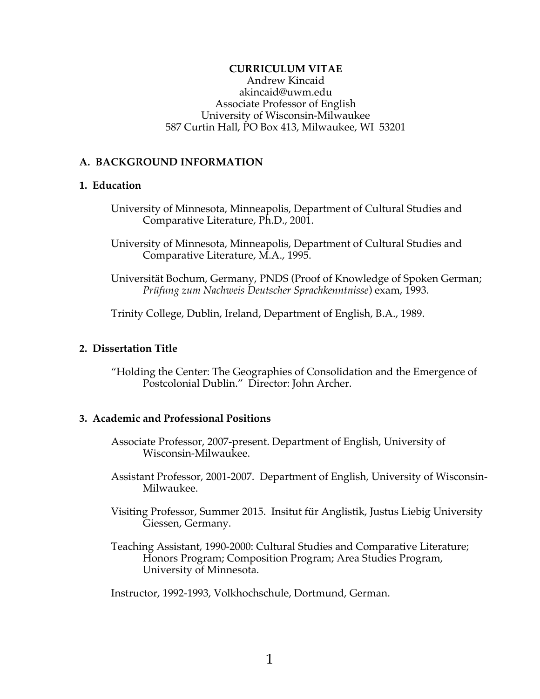### **CURRICULUM VITAE**

Andrew Kincaid akincaid@uwm.edu Associate Professor of English University of Wisconsin-Milwaukee 587 Curtin Hall, PO Box 413, Milwaukee, WI 53201

### **A. BACKGROUND INFORMATION**

## **1. Education**

- University of Minnesota, Minneapolis, Department of Cultural Studies and Comparative Literature, Ph.D., 2001.
- University of Minnesota, Minneapolis, Department of Cultural Studies and Comparative Literature, M.A., 1995.
- Universität Bochum, Germany, PNDS (Proof of Knowledge of Spoken German; *Prüfung zum Nachweis Deutscher Sprachkenntnisse*) exam, 1993.

Trinity College, Dublin, Ireland, Department of English, B.A., 1989.

### **2. Dissertation Title**

"Holding the Center: The Geographies of Consolidation and the Emergence of Postcolonial Dublin." Director: John Archer.

## **3. Academic and Professional Positions**

- Associate Professor, 2007-present. Department of English, University of Wisconsin-Milwaukee.
- Assistant Professor, 2001-2007. Department of English, University of Wisconsin-Milwaukee.
- Visiting Professor, Summer 2015. Insitut für Anglistik, Justus Liebig University Giessen, Germany.
- Teaching Assistant, 1990-2000: Cultural Studies and Comparative Literature; Honors Program; Composition Program; Area Studies Program, University of Minnesota.

Instructor, 1992-1993, Volkhochschule, Dortmund, German.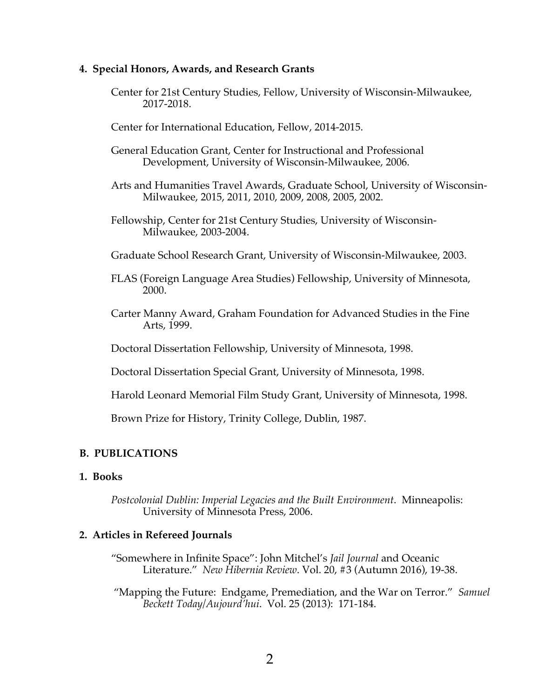### **4. Special Honors, Awards, and Research Grants**

- Center for 21st Century Studies, Fellow, University of Wisconsin-Milwaukee, 2017-2018.
- Center for International Education, Fellow, 2014-2015.
- General Education Grant, Center for Instructional and Professional Development, University of Wisconsin-Milwaukee, 2006.
- Arts and Humanities Travel Awards, Graduate School, University of Wisconsin-Milwaukee, 2015, 2011, 2010, 2009, 2008, 2005, 2002.
- Fellowship, Center for 21st Century Studies, University of Wisconsin-Milwaukee, 2003-2004.
- Graduate School Research Grant, University of Wisconsin-Milwaukee, 2003.
- FLAS (Foreign Language Area Studies) Fellowship, University of Minnesota, 2000.
- Carter Manny Award, Graham Foundation for Advanced Studies in the Fine Arts, 1999.

Doctoral Dissertation Fellowship, University of Minnesota, 1998.

Doctoral Dissertation Special Grant, University of Minnesota, 1998.

Harold Leonard Memorial Film Study Grant, University of Minnesota, 1998.

Brown Prize for History, Trinity College, Dublin, 1987.

## **B. PUBLICATIONS**

## **1. Books**

*Postcolonial Dublin: Imperial Legacies and the Built Environment*. Minneapolis: University of Minnesota Press, 2006.

### **2. Articles in Refereed Journals**

"Somewhere in Infinite Space": John Mitchel's *Jail Journal* and Oceanic Literature." *New Hibernia Review*. Vol. 20, #3 (Autumn 2016), 19-38.

"Mapping the Future: Endgame, Premediation, and the War on Terror." *Samuel Beckett Today/Aujourd'hui*. Vol. 25 (2013): 171-184.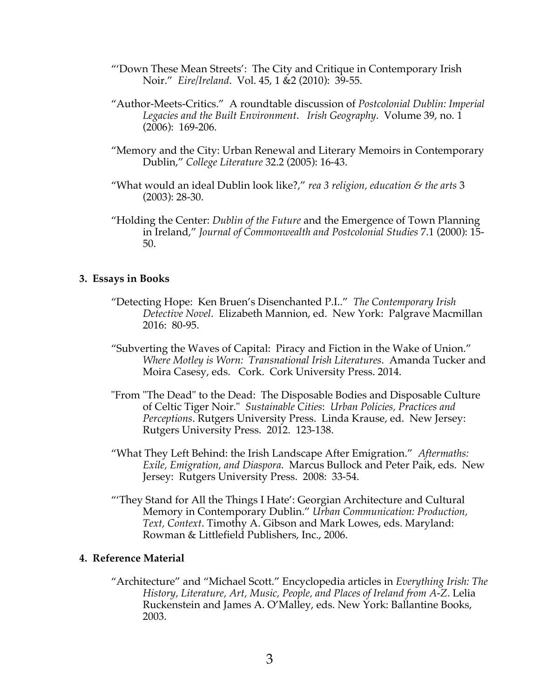- "'Down These Mean Streets': The City and Critique in Contemporary Irish Noir." *Eire/Ireland*. Vol. 45, 1 &2 (2010): 39-55.
- "Author-Meets-Critics." A roundtable discussion of *Postcolonial Dublin: Imperial Legacies and the Built Environment*. *Irish Geography*. Volume 39, no. 1 (2006): 169-206.
- "Memory and the City: Urban Renewal and Literary Memoirs in Contemporary Dublin," *College Literature* 32.2 (2005): 16-43.
- "What would an ideal Dublin look like?," *rea 3 religion, education & the arts* 3 (2003): 28-30.
- "Holding the Center: *Dublin of the Future* and the Emergence of Town Planning in Ireland," *Journal of Commonwealth and Postcolonial Studies* 7.1 (2000): 15- 50.

### **3. Essays in Books**

- "Detecting Hope: Ken Bruen's Disenchanted P.I.." *The Contemporary Irish Detective Novel*. Elizabeth Mannion, ed. New York: Palgrave Macmillan 2016: 80-95.
- "Subverting the Waves of Capital: Piracy and Fiction in the Wake of Union." *Where Motley is Worn: Transnational Irish Literatures*. Amanda Tucker and Moira Casesy, eds. Cork. Cork University Press. 2014.
- "From "The Dead" to the Dead: The Disposable Bodies and Disposable Culture of Celtic Tiger Noir." *Sustainable Cities*: *Urban Policies, Practices and Perceptions*. Rutgers University Press. Linda Krause, ed. New Jersey: Rutgers University Press. 2012. 123-138.
- "What They Left Behind: the Irish Landscape After Emigration." *Aftermaths: Exile, Emigration, and Diaspora*. Marcus Bullock and Peter Paik, eds. New Jersey: Rutgers University Press. 2008: 33-54.
- "'They Stand for All the Things I Hate': Georgian Architecture and Cultural Memory in Contemporary Dublin." *Urban Communication: Production, Text, Context*. Timothy A. Gibson and Mark Lowes, eds. Maryland: Rowman & Littlefield Publishers, Inc., 2006.

# **4. Reference Material**

"Architecture" and "Michael Scott." Encyclopedia articles in *Everything Irish: The History, Literature, Art, Music, People, and Places of Ireland from A-Z*. Lelia Ruckenstein and James A. O'Malley, eds. New York: Ballantine Books, 2003.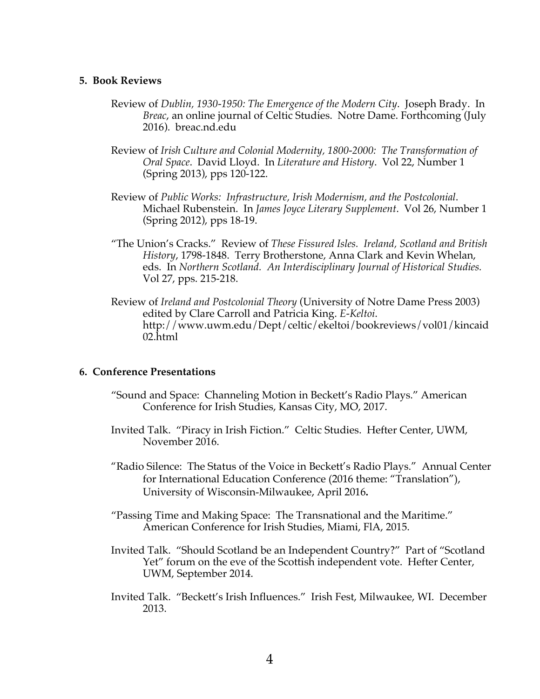### **5. Book Reviews**

- Review of *Dublin, 1930-1950: The Emergence of the Modern City*. Joseph Brady. In *Breac*, an online journal of Celtic Studies. Notre Dame. Forthcoming (July 2016). breac.nd.edu
- Review of *Irish Culture and Colonial Modernity, 1800-2000: The Transformation of Oral Space*. David Lloyd. In *Literature and History*. Vol 22, Number 1 (Spring 2013), pps 120-122.
- Review of *Public Works: Infrastructure, Irish Modernism, and the Postcolonial*. Michael Rubenstein. In *James Joyce Literary Supplement*. Vol 26, Number 1 (Spring 2012), pps 18-19.
- "The Union's Cracks." Review of *These Fissured Isles. Ireland, Scotland and British History*, 1798-1848. Terry Brotherstone, Anna Clark and Kevin Whelan, eds. In *Northern Scotland. An Interdisciplinary Journal of Historical Studies.* Vol 27, pps. 215-218.
- Review of *Ireland and Postcolonial Theory* (University of Notre Dame Press 2003) edited by Clare Carroll and Patricia King. *E-Keltoi*. http://www.uwm.edu/Dept/celtic/ekeltoi/bookreviews/vol01/kincaid 02.html

### **6. Conference Presentations**

- "Sound and Space: Channeling Motion in Beckett's Radio Plays." American Conference for Irish Studies, Kansas City, MO, 2017.
- Invited Talk. "Piracy in Irish Fiction." Celtic Studies. Hefter Center, UWM, November 2016.
- "Radio Silence: The Status of the Voice in Beckett's Radio Plays." Annual Center for International Education Conference (2016 theme: "Translation"), University of Wisconsin-Milwaukee, April 2016**.**
- "Passing Time and Making Space: The Transnational and the Maritime." American Conference for Irish Studies, Miami, FlA, 2015.
- Invited Talk. "Should Scotland be an Independent Country?" Part of "Scotland Yet" forum on the eve of the Scottish independent vote. Hefter Center, UWM, September 2014.
- Invited Talk. "Beckett's Irish Influences." Irish Fest, Milwaukee, WI. December 2013.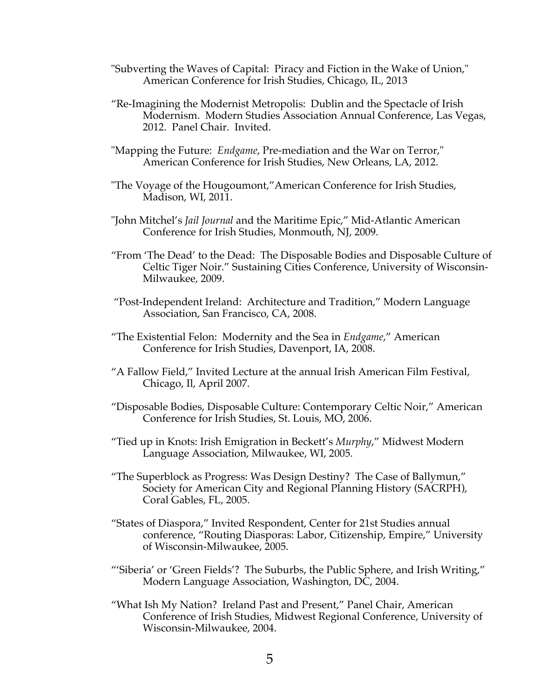- "Subverting the Waves of Capital: Piracy and Fiction in the Wake of Union," American Conference for Irish Studies, Chicago, IL, 2013
- "Re-Imagining the Modernist Metropolis: Dublin and the Spectacle of Irish Modernism. Modern Studies Association Annual Conference, Las Vegas, 2012. Panel Chair. Invited.
- "Mapping the Future: *Endgame*, Pre-mediation and the War on Terror," American Conference for Irish Studies, New Orleans, LA, 2012.
- "The Voyage of the Hougoumont,"American Conference for Irish Studies, Madison, WI, 2011.
- "John Mitchel's *Jail Journal* and the Maritime Epic," Mid-Atlantic American Conference for Irish Studies, Monmouth, NJ, 2009.
- "From 'The Dead' to the Dead: The Disposable Bodies and Disposable Culture of Celtic Tiger Noir." Sustaining Cities Conference, University of Wisconsin-Milwaukee, 2009.
- "Post-Independent Ireland: Architecture and Tradition," Modern Language Association, San Francisco, CA, 2008.
- "The Existential Felon: Modernity and the Sea in *Endgame*," American Conference for Irish Studies, Davenport, IA, 2008.
- "A Fallow Field," Invited Lecture at the annual Irish American Film Festival, Chicago, Il, April 2007.
- "Disposable Bodies, Disposable Culture: Contemporary Celtic Noir," American Conference for Irish Studies, St. Louis, MO, 2006.
- "Tied up in Knots: Irish Emigration in Beckett's *Murphy*," Midwest Modern Language Association, Milwaukee, WI, 2005.
- "The Superblock as Progress: Was Design Destiny? The Case of Ballymun," Society for American City and Regional Planning History (SACRPH), Coral Gables, FL, 2005.
- "States of Diaspora," Invited Respondent, Center for 21st Studies annual conference, "Routing Diasporas: Labor, Citizenship, Empire," University of Wisconsin-Milwaukee, 2005.
- "'Siberia' or 'Green Fields'? The Suburbs, the Public Sphere, and Irish Writing," Modern Language Association, Washington, DC, 2004.
- "What Ish My Nation? Ireland Past and Present," Panel Chair, American Conference of Irish Studies, Midwest Regional Conference, University of Wisconsin-Milwaukee, 2004.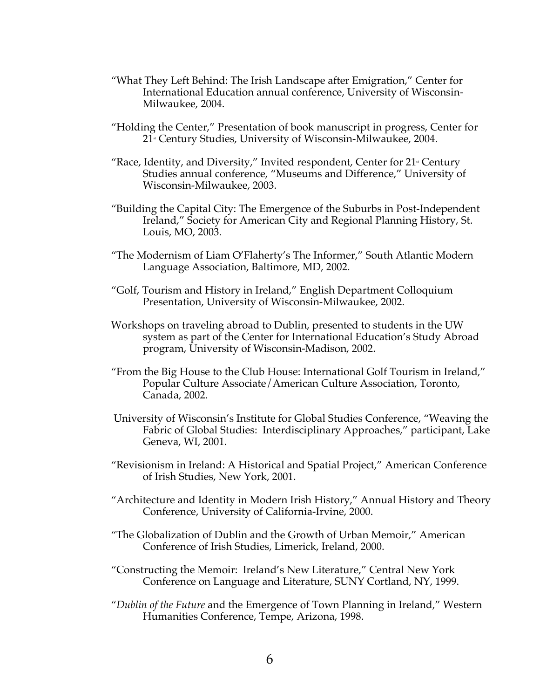- "What They Left Behind: The Irish Landscape after Emigration," Center for International Education annual conference, University of Wisconsin-Milwaukee, 2004.
- "Holding the Center," Presentation of book manuscript in progress, Center for 21<sup>\*</sup> Century Studies, University of Wisconsin-Milwaukee, 2004.
- "Race, Identity, and Diversity," Invited respondent, Center for  $21$  Century Studies annual conference, "Museums and Difference," University of Wisconsin-Milwaukee, 2003.
- "Building the Capital City: The Emergence of the Suburbs in Post-Independent Ireland," Society for American City and Regional Planning History, St. Louis, MO, 2003.
- "The Modernism of Liam O'Flaherty's The Informer," South Atlantic Modern Language Association, Baltimore, MD, 2002.
- "Golf, Tourism and History in Ireland," English Department Colloquium Presentation, University of Wisconsin-Milwaukee, 2002.
- Workshops on traveling abroad to Dublin, presented to students in the UW system as part of the Center for International Education's Study Abroad program, University of Wisconsin-Madison, 2002.
- "From the Big House to the Club House: International Golf Tourism in Ireland," Popular Culture Associate/American Culture Association, Toronto, Canada, 2002.
- University of Wisconsin's Institute for Global Studies Conference, "Weaving the Fabric of Global Studies: Interdisciplinary Approaches," participant, Lake Geneva, WI, 2001.
- "Revisionism in Ireland: A Historical and Spatial Project," American Conference of Irish Studies, New York, 2001.
- "Architecture and Identity in Modern Irish History," Annual History and Theory Conference, University of California-Irvine, 2000.
- "The Globalization of Dublin and the Growth of Urban Memoir," American Conference of Irish Studies, Limerick, Ireland, 2000.
- "Constructing the Memoir: Ireland's New Literature," Central New York Conference on Language and Literature, SUNY Cortland, NY, 1999.
- "*Dublin of the Future* and the Emergence of Town Planning in Ireland," Western Humanities Conference, Tempe, Arizona, 1998.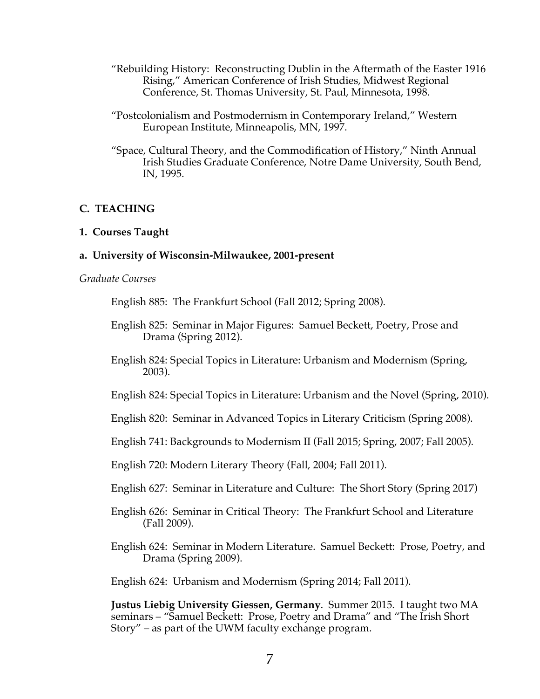- "Rebuilding History: Reconstructing Dublin in the Aftermath of the Easter 1916 Rising," American Conference of Irish Studies, Midwest Regional Conference, St. Thomas University, St. Paul, Minnesota, 1998.
- "Postcolonialism and Postmodernism in Contemporary Ireland," Western European Institute, Minneapolis, MN, 1997.
- "Space, Cultural Theory, and the Commodification of History," Ninth Annual Irish Studies Graduate Conference, Notre Dame University, South Bend, IN, 1995.

# **C. TEACHING**

## **1. Courses Taught**

## **a. University of Wisconsin-Milwaukee, 2001-present**

### *Graduate Courses*

English 885: The Frankfurt School (Fall 2012; Spring 2008).

- English 825: Seminar in Major Figures: Samuel Beckett, Poetry, Prose and Drama (Spring 2012).
- English 824: Special Topics in Literature: Urbanism and Modernism (Spring, 2003).
- English 824: Special Topics in Literature: Urbanism and the Novel (Spring, 2010).
- English 820: Seminar in Advanced Topics in Literary Criticism (Spring 2008).
- English 741: Backgrounds to Modernism II (Fall 2015; Spring, 2007; Fall 2005).
- English 720: Modern Literary Theory (Fall, 2004; Fall 2011).
- English 627: Seminar in Literature and Culture: The Short Story (Spring 2017)
- English 626: Seminar in Critical Theory: The Frankfurt School and Literature (Fall 2009).
- English 624: Seminar in Modern Literature. Samuel Beckett: Prose, Poetry, and Drama (Spring 2009).

English 624: Urbanism and Modernism (Spring 2014; Fall 2011).

**Justus Liebig University Giessen, Germany**. Summer 2015. I taught two MA seminars – "Samuel Beckett: Prose, Poetry and Drama" and "The Irish Short Story" – as part of the UWM faculty exchange program.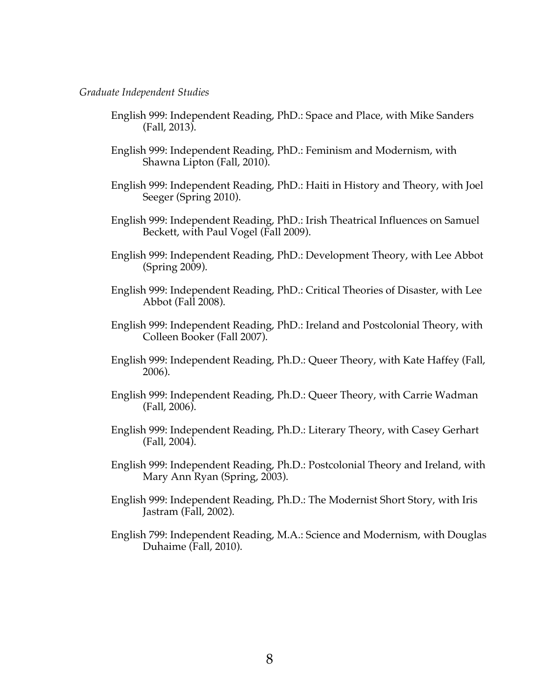#### *Graduate Independent Studies*

- English 999: Independent Reading, PhD.: Space and Place, with Mike Sanders (Fall, 2013).
- English 999: Independent Reading, PhD.: Feminism and Modernism, with Shawna Lipton (Fall, 2010).
- English 999: Independent Reading, PhD.: Haiti in History and Theory, with Joel Seeger (Spring 2010).
- English 999: Independent Reading, PhD.: Irish Theatrical Influences on Samuel Beckett, with Paul Vogel (Fall 2009).
- English 999: Independent Reading, PhD.: Development Theory, with Lee Abbot (Spring 2009).
- English 999: Independent Reading, PhD.: Critical Theories of Disaster, with Lee Abbot (Fall 2008).
- English 999: Independent Reading, PhD.: Ireland and Postcolonial Theory, with Colleen Booker (Fall 2007).
- English 999: Independent Reading, Ph.D.: Queer Theory, with Kate Haffey (Fall, 2006).
- English 999: Independent Reading, Ph.D.: Queer Theory, with Carrie Wadman (Fall, 2006).
- English 999: Independent Reading, Ph.D.: Literary Theory, with Casey Gerhart (Fall, 2004).
- English 999: Independent Reading, Ph.D.: Postcolonial Theory and Ireland, with Mary Ann Ryan (Spring, 2003).
- English 999: Independent Reading, Ph.D.: The Modernist Short Story, with Iris Jastram (Fall, 2002).
- English 799: Independent Reading, M.A.: Science and Modernism, with Douglas Duhaime (Fall, 2010).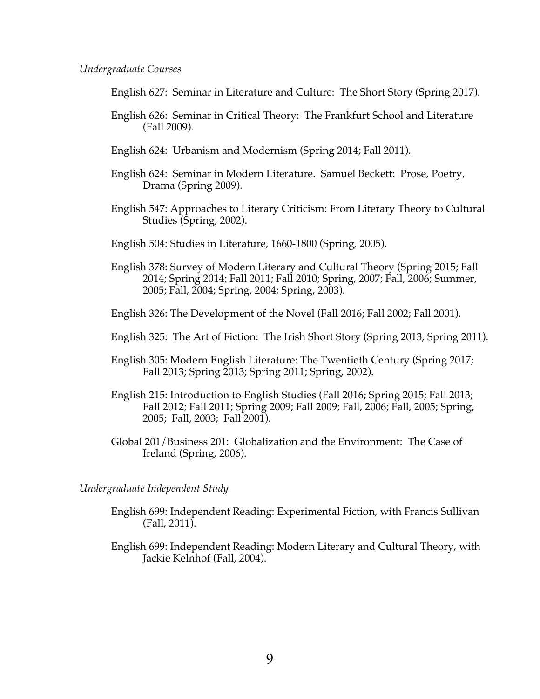### *Undergraduate Courses*

English 627: Seminar in Literature and Culture: The Short Story (Spring 2017).

- English 626: Seminar in Critical Theory: The Frankfurt School and Literature (Fall 2009).
- English 624: Urbanism and Modernism (Spring 2014; Fall 2011).
- English 624: Seminar in Modern Literature. Samuel Beckett: Prose, Poetry, Drama (Spring 2009).
- English 547: Approaches to Literary Criticism: From Literary Theory to Cultural Studies (Spring, 2002).

English 504: Studies in Literature, 1660-1800 (Spring, 2005).

- English 378: Survey of Modern Literary and Cultural Theory (Spring 2015; Fall 2014; Spring 2014; Fall 2011; Fall 2010; Spring, 2007; Fall, 2006; Summer, 2005; Fall, 2004; Spring, 2004; Spring, 2003).
- English 326: The Development of the Novel (Fall 2016; Fall 2002; Fall 2001).
- English 325: The Art of Fiction: The Irish Short Story (Spring 2013, Spring 2011).
- English 305: Modern English Literature: The Twentieth Century (Spring 2017; Fall 2013; Spring 2013; Spring 2011; Spring, 2002).
- English 215: Introduction to English Studies (Fall 2016; Spring 2015; Fall 2013; Fall 2012; Fall 2011; Spring 2009; Fall 2009; Fall, 2006; Fall, 2005; Spring, 2005; Fall, 2003; Fall 2001).
- Global 201/Business 201: Globalization and the Environment: The Case of Ireland (Spring, 2006).

*Undergraduate Independent Study*

- English 699: Independent Reading: Experimental Fiction, with Francis Sullivan (Fall, 2011).
- English 699: Independent Reading: Modern Literary and Cultural Theory, with Jackie Kelnhof (Fall, 2004).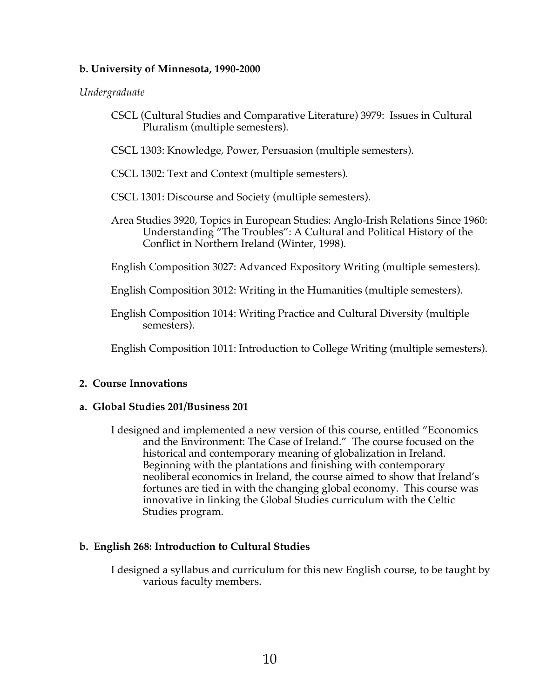# **b. University of Minnesota, 1990-2000**

# *Undergraduate*

- CSCL (Cultural Studies and Comparative Literature) 3979: Issues in Cultural Pluralism (multiple semesters).
- CSCL 1303: Knowledge, Power, Persuasion (multiple semesters).
- CSCL 1302: Text and Context (multiple semesters).
- CSCL 1301: Discourse and Society (multiple semesters).
- Area Studies 3920, Topics in European Studies: Anglo-Irish Relations Since 1960: Understanding "The Troubles": A Cultural and Political History of the Conflict in Northern Ireland (Winter, 1998).

English Composition 3027: Advanced Expository Writing (multiple semesters).

English Composition 3012: Writing in the Humanities (multiple semesters).

English Composition 1014: Writing Practice and Cultural Diversity (multiple semesters).

English Composition 1011: Introduction to College Writing (multiple semesters).

# **2. Course Innovations**

# **a. Global Studies 201/Business 201**

I designed and implemented a new version of this course, entitled "Economics and the Environment: The Case of Ireland." The course focused on the historical and contemporary meaning of globalization in Ireland. Beginning with the plantations and finishing with contemporary neoliberal economics in Ireland, the course aimed to show that Ireland's fortunes are tied in with the changing global economy. This course was innovative in linking the Global Studies curriculum with the Celtic Studies program.

# **b. English 268: Introduction to Cultural Studies**

I designed a syllabus and curriculum for this new English course, to be taught by various faculty members.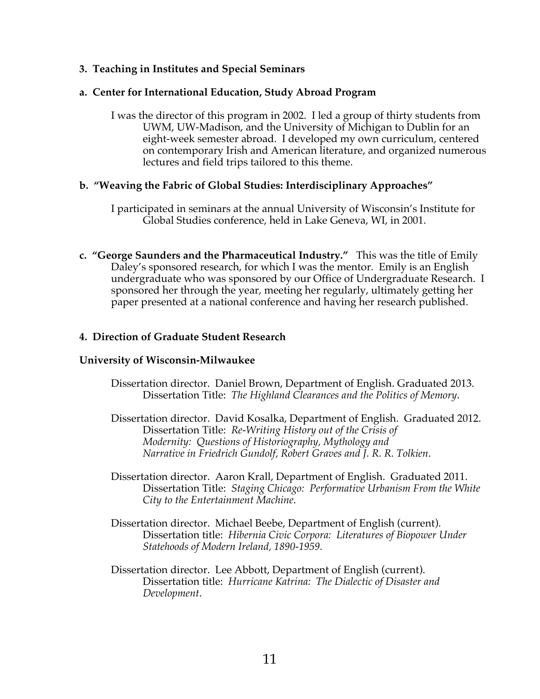# **3. Teaching in Institutes and Special Seminars**

# **a. Center for International Education, Study Abroad Program**

I was the director of this program in 2002. I led a group of thirty students from UWM, UW-Madison, and the University of Michigan to Dublin for an eight-week semester abroad. I developed my own curriculum, centered on contemporary Irish and American literature, and organized numerous lectures and field trips tailored to this theme.

# **b. "Weaving the Fabric of Global Studies: Interdisciplinary Approaches"**

- I participated in seminars at the annual University of Wisconsin's Institute for Global Studies conference, held in Lake Geneva, WI, in 2001.
- **c. "George Saunders and the Pharmaceutical Industry."** This was the title of Emily Daley's sponsored research, for which I was the mentor. Emily is an English undergraduate who was sponsored by our Office of Undergraduate Research. I sponsored her through the year, meeting her regularly, ultimately getting her paper presented at a national conference and having her research published.

# **4. Direction of Graduate Student Research**

## **University of Wisconsin-Milwaukee**

- Dissertation director. Daniel Brown, Department of English. Graduated 2013. Dissertation Title: *The Highland Clearances and the Politics of Memory*.
- Dissertation director. David Kosalka, Department of English. Graduated 2012. Dissertation Title: *Re-Writing History out of the Crisis of Modernity: Questions of Historiography, Mythology and Narrative in Friedrich Gundolf, Robert Graves and J. R. R. Tolkien*.
- Dissertation director. Aaron Krall, Department of English. Graduated 2011. Dissertation Title: *Staging Chicago: Performative Urbanism From the White City to the Entertainment Machine*.
- Dissertation director. Michael Beebe, Department of English (current). Dissertation title: *Hibernia Civic Corpora: Literatures of Biopower Under Statehoods of Modern Ireland, 1890-1959.*
- Dissertation director. Lee Abbott, Department of English (current). Dissertation title: *Hurricane Katrina: The Dialectic of Disaster and Development*.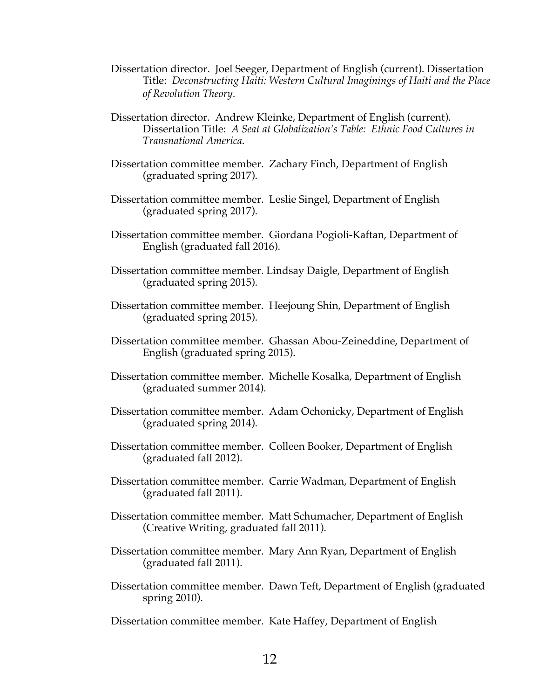- Dissertation director. Joel Seeger, Department of English (current). Dissertation Title: *Deconstructing Haiti: Western Cultural Imaginings of Haiti and the Place of Revolution Theory*.
- Dissertation director. Andrew Kleinke, Department of English (current). Dissertation Title: *A Seat at Globalization's Table: Ethnic Food Cultures in Transnational America*.
- Dissertation committee member. Zachary Finch, Department of English (graduated spring 2017).
- Dissertation committee member. Leslie Singel, Department of English (graduated spring 2017).
- Dissertation committee member. Giordana Pogioli-Kaftan, Department of English (graduated fall 2016).
- Dissertation committee member. Lindsay Daigle, Department of English (graduated spring 2015).
- Dissertation committee member. Heejoung Shin, Department of English (graduated spring 2015).
- Dissertation committee member. Ghassan Abou-Zeineddine, Department of English (graduated spring 2015).
- Dissertation committee member. Michelle Kosalka, Department of English (graduated summer 2014).
- Dissertation committee member. Adam Ochonicky, Department of English (graduated spring 2014).
- Dissertation committee member. Colleen Booker, Department of English (graduated fall 2012).
- Dissertation committee member. Carrie Wadman, Department of English (graduated fall 2011).
- Dissertation committee member. Matt Schumacher, Department of English (Creative Writing, graduated fall 2011).
- Dissertation committee member. Mary Ann Ryan, Department of English (graduated fall 2011).
- Dissertation committee member. Dawn Teft, Department of English (graduated spring 2010).
- Dissertation committee member. Kate Haffey, Department of English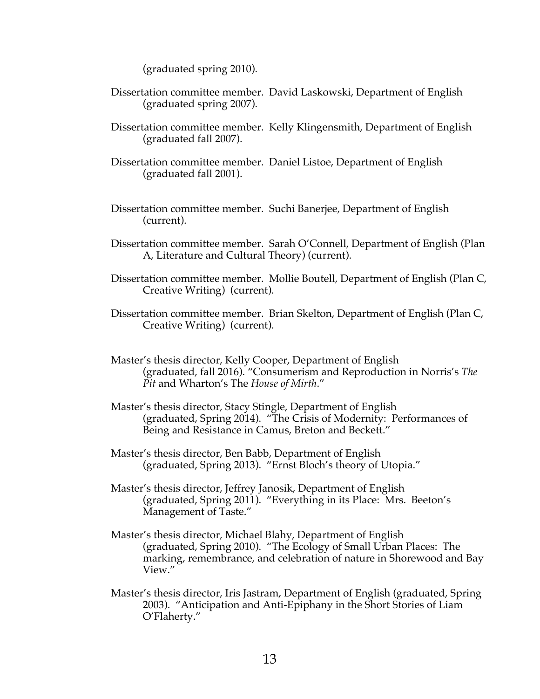(graduated spring 2010).

Dissertation committee member. David Laskowski, Department of English (graduated spring 2007).

Dissertation committee member. Kelly Klingensmith, Department of English (graduated fall 2007).

- Dissertation committee member. Daniel Listoe, Department of English (graduated fall 2001).
- Dissertation committee member. Suchi Banerjee, Department of English (current).
- Dissertation committee member. Sarah O'Connell, Department of English (Plan A, Literature and Cultural Theory) (current).
- Dissertation committee member. Mollie Boutell, Department of English (Plan C, Creative Writing) (current).
- Dissertation committee member. Brian Skelton, Department of English (Plan C, Creative Writing) (current).
- Master's thesis director, Kelly Cooper, Department of English (graduated, fall 2016). "Consumerism and Reproduction in Norris's *The Pit* and Wharton's The *House of Mirth*."
- Master's thesis director, Stacy Stingle, Department of English (graduated, Spring 2014). "The Crisis of Modernity: Performances of Being and Resistance in Camus, Breton and Beckett."
- Master's thesis director, Ben Babb, Department of English (graduated, Spring 2013). "Ernst Bloch's theory of Utopia."
- Master's thesis director, Jeffrey Janosik, Department of English (graduated, Spring 2011). "Everything in its Place: Mrs. Beeton's Management of Taste."
- Master's thesis director, Michael Blahy, Department of English (graduated, Spring 2010). "The Ecology of Small Urban Places: The marking, remembrance, and celebration of nature in Shorewood and Bay View."
- Master's thesis director, Iris Jastram, Department of English (graduated, Spring 2003). "Anticipation and Anti-Epiphany in the Short Stories of Liam O'Flaherty."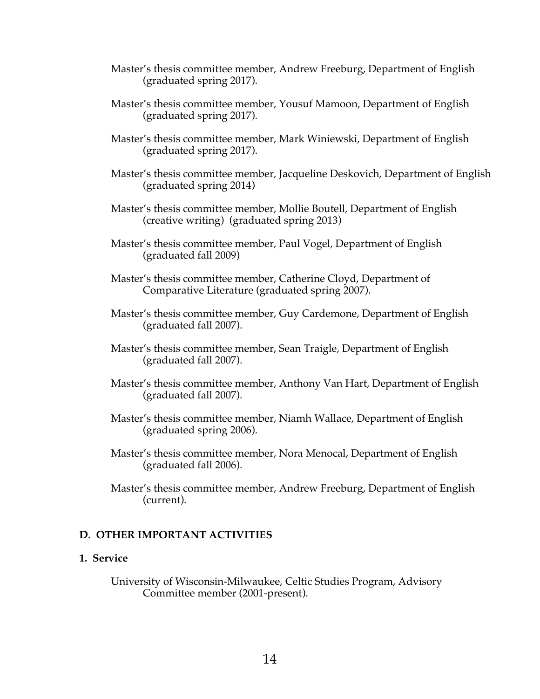- Master's thesis committee member, Andrew Freeburg, Department of English (graduated spring 2017).
- Master's thesis committee member, Yousuf Mamoon, Department of English (graduated spring 2017).
- Master's thesis committee member, Mark Winiewski, Department of English (graduated spring 2017).
- Master's thesis committee member, Jacqueline Deskovich, Department of English (graduated spring 2014)
- Master's thesis committee member, Mollie Boutell, Department of English (creative writing) (graduated spring 2013)
- Master's thesis committee member, Paul Vogel, Department of English (graduated fall 2009)
- Master's thesis committee member, Catherine Cloyd, Department of Comparative Literature (graduated spring 2007).
- Master's thesis committee member, Guy Cardemone, Department of English (graduated fall 2007).
- Master's thesis committee member, Sean Traigle, Department of English (graduated fall 2007).
- Master's thesis committee member, Anthony Van Hart, Department of English (graduated fall 2007).
- Master's thesis committee member, Niamh Wallace, Department of English (graduated spring 2006).
- Master's thesis committee member, Nora Menocal, Department of English (graduated fall 2006).
- Master's thesis committee member, Andrew Freeburg, Department of English (current).

# **D. OTHER IMPORTANT ACTIVITIES**

## **1. Service**

University of Wisconsin-Milwaukee, Celtic Studies Program, Advisory Committee member (2001-present).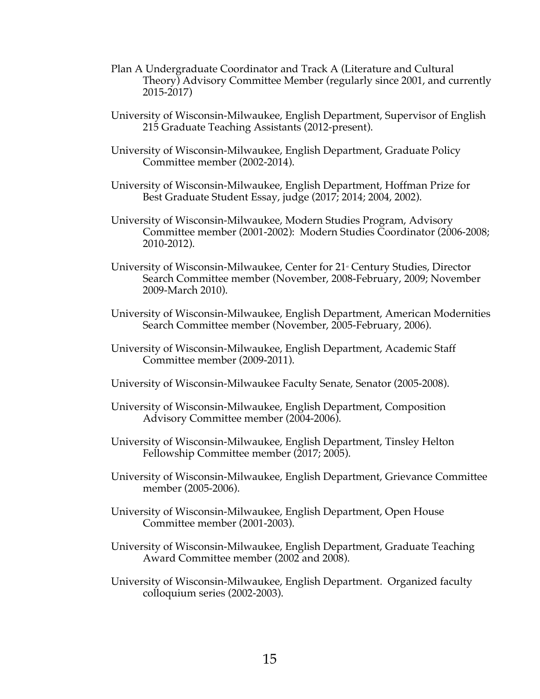- Plan A Undergraduate Coordinator and Track A (Literature and Cultural Theory) Advisory Committee Member (regularly since 2001, and currently 2015-2017)
- University of Wisconsin-Milwaukee, English Department, Supervisor of English 215 Graduate Teaching Assistants (2012-present).
- University of Wisconsin-Milwaukee, English Department, Graduate Policy Committee member (2002-2014).
- University of Wisconsin-Milwaukee, English Department, Hoffman Prize for Best Graduate Student Essay, judge (2017; 2014; 2004, 2002).
- University of Wisconsin-Milwaukee, Modern Studies Program, Advisory Committee member (2001-2002): Modern Studies Coordinator (2006-2008; 2010-2012).
- University of Wisconsin-Milwaukee, Center for 21<sup>®</sup> Century Studies, Director Search Committee member (November, 2008-February, 2009; November 2009-March 2010).
- University of Wisconsin-Milwaukee, English Department, American Modernities Search Committee member (November, 2005-February, 2006).
- University of Wisconsin-Milwaukee, English Department, Academic Staff Committee member (2009-2011).
- University of Wisconsin-Milwaukee Faculty Senate, Senator (2005-2008).
- University of Wisconsin-Milwaukee, English Department, Composition Advisory Committee member (2004-2006).
- University of Wisconsin-Milwaukee, English Department, Tinsley Helton Fellowship Committee member (2017; 2005).
- University of Wisconsin-Milwaukee, English Department, Grievance Committee member (2005-2006).
- University of Wisconsin-Milwaukee, English Department, Open House Committee member (2001-2003).
- University of Wisconsin-Milwaukee, English Department, Graduate Teaching Award Committee member (2002 and 2008).
- University of Wisconsin-Milwaukee, English Department. Organized faculty colloquium series (2002-2003).